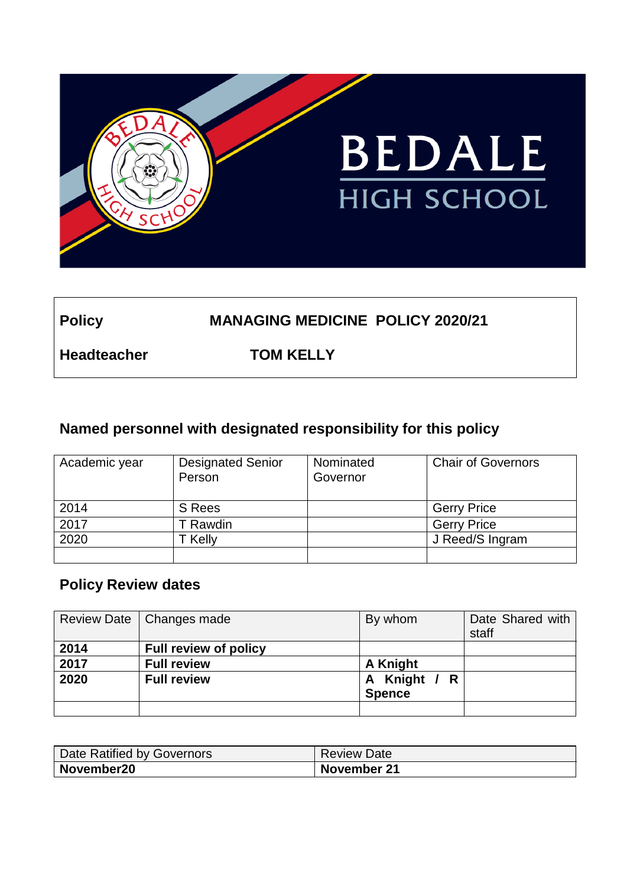

## **Policy MANAGING MEDICINE POLICY 2020/21**

**Headteacher TOM KELLY**

## **Named personnel with designated responsibility for this policy**

| Academic year | <b>Designated Senior</b><br>Person | Nominated<br>Governor | <b>Chair of Governors</b> |
|---------------|------------------------------------|-----------------------|---------------------------|
| 2014          | S Rees                             |                       | <b>Gerry Price</b>        |
| 2017          | Rawdin                             |                       | <b>Gerry Price</b>        |
| 2020          | Kelly                              |                       | J Reed/S Ingram           |
|               |                                    |                       |                           |

### **Policy Review dates**

|      | Review Date   Changes made   | By whom       | Date Shared with<br>staff |
|------|------------------------------|---------------|---------------------------|
| 2014 | <b>Full review of policy</b> |               |                           |
| 2017 | <b>Full review</b>           | A Knight      |                           |
| 2020 | <b>Full review</b>           | A Knight / R  |                           |
|      |                              | <b>Spence</b> |                           |
|      |                              |               |                           |

| Date Ratified by Governors | <b>Review Date</b> |
|----------------------------|--------------------|
| November20                 | November 21        |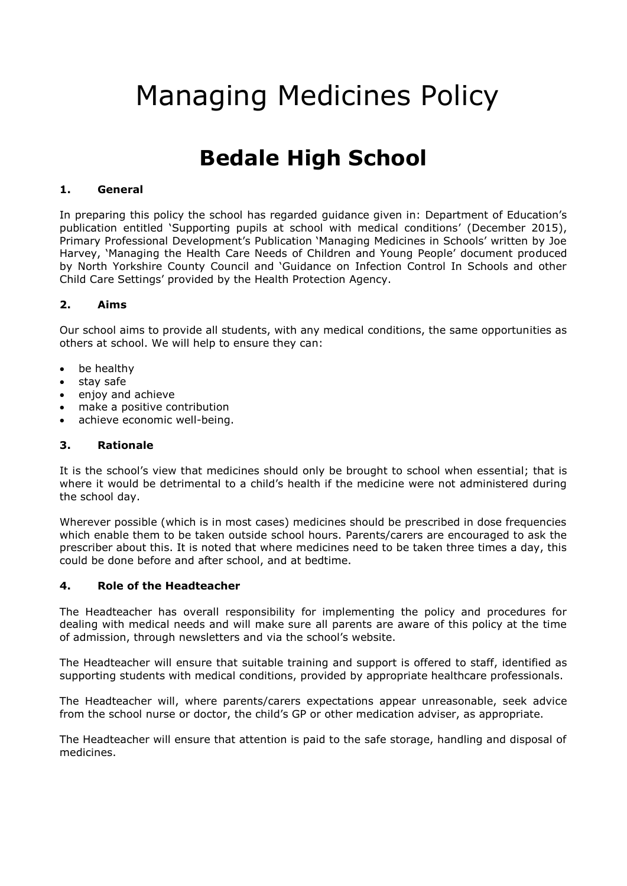# Managing Medicines Policy

## **Bedale High School**

#### **1. General**

In preparing this policy the school has regarded guidance given in: Department of Education's publication entitled 'Supporting pupils at school with medical conditions' (December 2015), Primary Professional Development's Publication 'Managing Medicines in Schools' written by Joe Harvey, 'Managing the Health Care Needs of Children and Young People' document produced by North Yorkshire County Council and 'Guidance on Infection Control In Schools and other Child Care Settings' provided by the Health Protection Agency.

#### **2. Aims**

Our school aims to provide all students, with any medical conditions, the same opportunities as others at school. We will help to ensure they can:

- be healthy
- stay safe
- enjoy and achieve
- make a positive contribution
- achieve economic well-being.

#### **3. Rationale**

It is the school's view that medicines should only be brought to school when essential; that is where it would be detrimental to a child's health if the medicine were not administered during the school day.

Wherever possible (which is in most cases) medicines should be prescribed in dose frequencies which enable them to be taken outside school hours. Parents/carers are encouraged to ask the prescriber about this. It is noted that where medicines need to be taken three times a day, this could be done before and after school, and at bedtime.

#### **4. Role of the Headteacher**

The Headteacher has overall responsibility for implementing the policy and procedures for dealing with medical needs and will make sure all parents are aware of this policy at the time of admission, through newsletters and via the school's website.

The Headteacher will ensure that suitable training and support is offered to staff, identified as supporting students with medical conditions, provided by appropriate healthcare professionals.

The Headteacher will, where parents/carers expectations appear unreasonable, seek advice from the school nurse or doctor, the child's GP or other medication adviser, as appropriate.

The Headteacher will ensure that attention is paid to the safe storage, handling and disposal of medicines.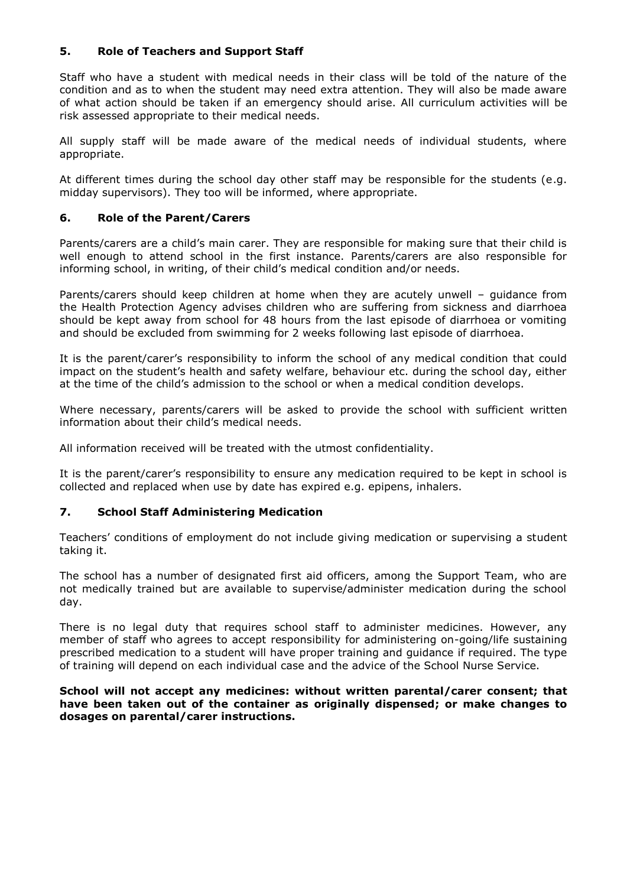#### **5. Role of Teachers and Support Staff**

Staff who have a student with medical needs in their class will be told of the nature of the condition and as to when the student may need extra attention. They will also be made aware of what action should be taken if an emergency should arise. All curriculum activities will be risk assessed appropriate to their medical needs.

All supply staff will be made aware of the medical needs of individual students, where appropriate.

At different times during the school day other staff may be responsible for the students (e.g. midday supervisors). They too will be informed, where appropriate.

#### **6. Role of the Parent/Carers**

Parents/carers are a child's main carer. They are responsible for making sure that their child is well enough to attend school in the first instance. Parents/carers are also responsible for informing school, in writing, of their child's medical condition and/or needs.

Parents/carers should keep children at home when they are acutely unwell – guidance from the Health Protection Agency advises children who are suffering from sickness and diarrhoea should be kept away from school for 48 hours from the last episode of diarrhoea or vomiting and should be excluded from swimming for 2 weeks following last episode of diarrhoea.

It is the parent/carer's responsibility to inform the school of any medical condition that could impact on the student's health and safety welfare, behaviour etc. during the school day, either at the time of the child's admission to the school or when a medical condition develops.

Where necessary, parents/carers will be asked to provide the school with sufficient written information about their child's medical needs.

All information received will be treated with the utmost confidentiality.

It is the parent/carer's responsibility to ensure any medication required to be kept in school is collected and replaced when use by date has expired e.g. epipens, inhalers.

#### **7. School Staff Administering Medication**

Teachers' conditions of employment do not include giving medication or supervising a student taking it.

The school has a number of designated first aid officers, among the Support Team, who are not medically trained but are available to supervise/administer medication during the school day.

There is no legal duty that requires school staff to administer medicines. However, any member of staff who agrees to accept responsibility for administering on-going/life sustaining prescribed medication to a student will have proper training and guidance if required. The type of training will depend on each individual case and the advice of the School Nurse Service.

#### **School will not accept any medicines: without written parental/carer consent; that have been taken out of the container as originally dispensed; or make changes to dosages on parental/carer instructions.**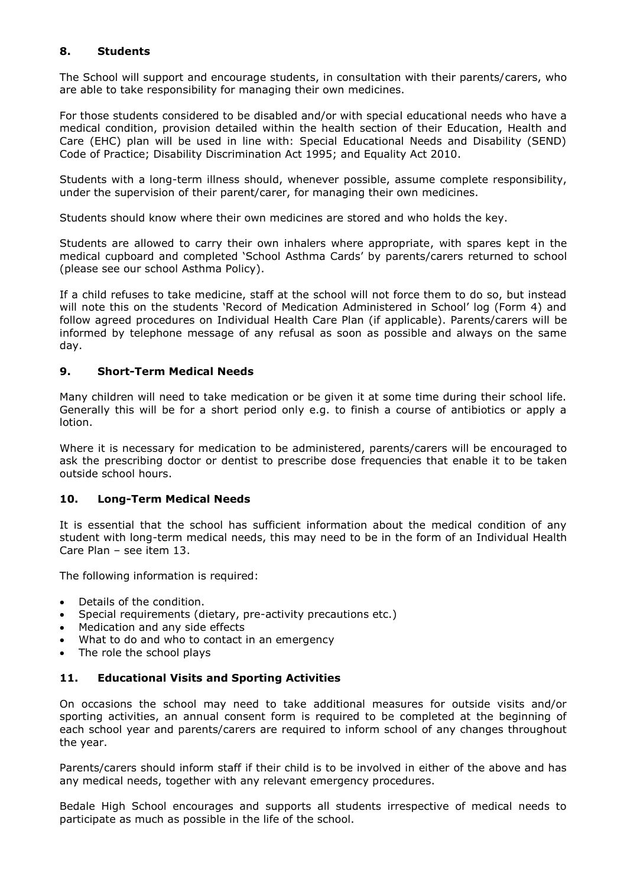#### **8. Students**

The School will support and encourage students, in consultation with their parents/carers, who are able to take responsibility for managing their own medicines.

For those students considered to be disabled and/or with special educational needs who have a medical condition, provision detailed within the health section of their Education, Health and Care (EHC) plan will be used in line with: Special Educational Needs and Disability (SEND) Code of Practice; Disability Discrimination Act 1995; and Equality Act 2010.

Students with a long-term illness should, whenever possible, assume complete responsibility, under the supervision of their parent/carer, for managing their own medicines.

Students should know where their own medicines are stored and who holds the key.

Students are allowed to carry their own inhalers where appropriate, with spares kept in the medical cupboard and completed 'School Asthma Cards' by parents/carers returned to school (please see our school Asthma Policy).

If a child refuses to take medicine, staff at the school will not force them to do so, but instead will note this on the students 'Record of Medication Administered in School' log (Form 4) and follow agreed procedures on Individual Health Care Plan (if applicable). Parents/carers will be informed by telephone message of any refusal as soon as possible and always on the same day.

#### **9. Short-Term Medical Needs**

Many children will need to take medication or be given it at some time during their school life. Generally this will be for a short period only e.g. to finish a course of antibiotics or apply a lotion.

Where it is necessary for medication to be administered, parents/carers will be encouraged to ask the prescribing doctor or dentist to prescribe dose frequencies that enable it to be taken outside school hours.

#### **10. Long-Term Medical Needs**

It is essential that the school has sufficient information about the medical condition of any student with long-term medical needs, this may need to be in the form of an Individual Health Care Plan – see item 13.

The following information is required:

- Details of the condition.
- Special requirements (dietary, pre-activity precautions etc.)
- Medication and any side effects
- What to do and who to contact in an emergency
- The role the school plays

#### **11. Educational Visits and Sporting Activities**

On occasions the school may need to take additional measures for outside visits and/or sporting activities, an annual consent form is required to be completed at the beginning of each school year and parents/carers are required to inform school of any changes throughout the year.

Parents/carers should inform staff if their child is to be involved in either of the above and has any medical needs, together with any relevant emergency procedures.

Bedale High School encourages and supports all students irrespective of medical needs to participate as much as possible in the life of the school.